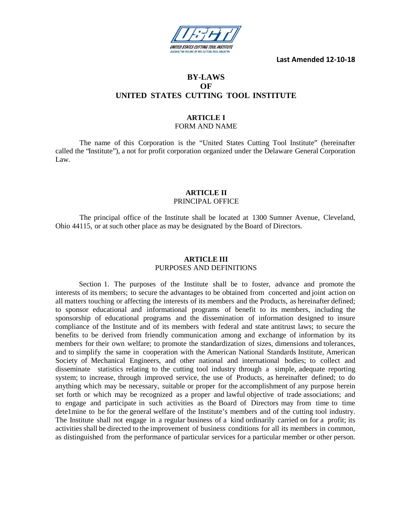

**Last Amended 12-10-18**

# **BY-LAWS OF UNITED STATES CUTTING TOOL INSTITUTE**

# **ARTICLE I**

# FORM AND NAME

The name of this Corporation is the "United States Cutting Tool Institute" (hereinafter called the "Institute"), a not for profit corporation organized under the Delaware General Corporation Law.

# **ARTICLE II** PRINCIPAL OFFICE

The principal office of the Institute shall be located at 1300 Sumner Avenue, Cleveland, Ohio 44115, or at such other place as may be designated by the Board of Directors.

# **ARTICLE III** PURPOSES AND DEFINITIONS

Section 1. The purposes of the Institute shall be to foster, advance and promote the interests of its members; to secure the advantages to be obtained from concerted and joint action on all matters touching or affecting the interests of its members and the Products, as hereinafter defined; to sponsor educational and informational programs of benefit to its members, including the sponsorship of educational programs and the dissemination of information designed to insure compliance of the Institute and of its members with federal and state antitrust laws; to secure the benefits to be derived from friendly communication among and exchange of information by its members for their own welfare; to promote the standardization of sizes, dimensions and tolerances, and to simplify the same in cooperation with the American National Standards Institute, American Society of Mechanical Engineers, and other national and international bodies; to collect and disseminate statistics relating to the cutting tool industry through a simple, adequate reporting system; to increase, through improved service, the use of Products, as hereinafter defined; to do anything which may be necessary, suitable or proper for the accomplishment of any purpose herein set forth or which may be recognized as a proper and lawful objective of trade associations; and to engage and participate in such activities as the Board of Directors may from time to time dete1mine to be for the general welfare of the Institute's members and of the cutting tool industry. The Institute shall not engage in a regular business of a kind ordinarily carried on for a profit; its activities shall be directed to the improvement of business conditions for all its members in common, as distinguished from the performance of particular services for a particular member or other person.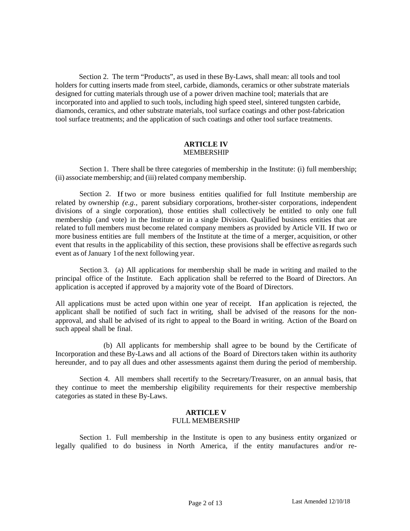Section 2. The term "Products", as used in these By-Laws, shall mean: all tools and tool holders for cutting inserts made from steel, carbide, diamonds, ceramics or other substrate materials designed for cutting materials through use of a power driven machine tool; materials that are incorporated into and applied to such tools, including high speed steel, sintered tungsten carbide, diamonds, ceramics, and other substrate materials, tool surface coatings and other post-fabrication tool surface treatments; and the application of such coatings and other tool surface treatments.

#### **ARTICLE IV** MEMBERSHIP

Section 1. There shall be three categories of membership in the Institute: (i) full membership; (ii) associate membership; and (iii) related company membership.

Section 2. Iftwo or more business entities qualified for full Institute membership are related by ownership *(e.g.,* parent subsidiary corporations, brother-sister corporations, independent divisions of a single corporation), those entities shall collectively be entitled to only one full membership (and vote) in the Institute or in a single Division. Qualified business entities that are related to full members must become related company members as provided by Article VII. If two or more business entities are full members of the Institute at the time of a merger, acquisition, or other event that results in the applicability of this section, these provisions shall be effective asregards such event as of January 1 of the next following year.

Section 3. (a) All applications for membership shall be made in writing and mailed to the principal office of the Institute. Each application shall be referred to the Board of Directors. An application is accepted if approved by a majority vote of the Board of Directors.

All applications must be acted upon within one year of receipt. If an application is rejected, the applicant shall be notified of such fact in writing, shall be advised of the reasons for the nonapproval, and shall be advised of its right to appeal to the Board in writing. Action of the Board on such appeal shall be final.

(b) All applicants for membership shall agree to be bound by the Certificate of Incorporation and these By-Laws and all actions of the Board of Directors taken within its authority hereunder, and to pay all dues and other assessments against them during the period of membership.

Section 4. All members shall recertify to the Secretary/Treasurer, on an annual basis, that they continue to meet the membership eligibility requirements for their respective membership categories as stated in these By-Laws.

# **ARTICLE V** FULL MEMBERSHIP

Section 1. Full membership in the Institute is open to any business entity organized or legally qualified to do business in North America, if the entity manufactures and/or re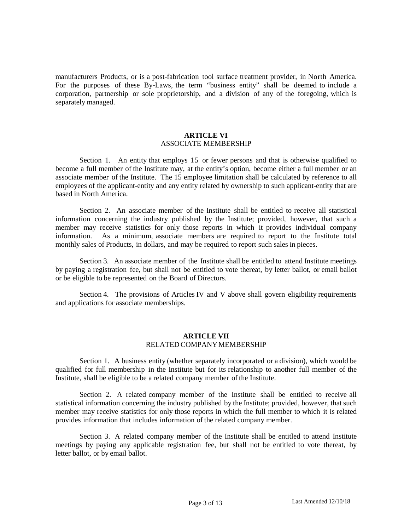manufacturers Products, or is a post-fabrication tool surface treatment provider, in North America. For the purposes of these By-Laws, the term "business entity" shall be deemed to include a corporation, partnership or sole proprietorship, and a division of any of the foregoing, which is separately managed.

### **ARTICLE VI** ASSOCIATE MEMBERSHIP

Section 1. An entity that employs 15 or fewer persons and that is otherwise qualified to become a full member of the Institute may, at the entity's option, become either a full member or an associate member of the Institute. The 15 employee limitation shall be calculated by reference to all employees of the applicant-entity and any entity related by ownership to such applicant-entity that are based in North America.

Section 2. An associate member of the Institute shall be entitled to receive all statistical information concerning the industry published by the Institute; provided, however, that such a member may receive statistics for only those reports in which it provides individual company information. As a minimum, associate members are required to report to the Institute total monthly sales of Products, in dollars, and may be required to report such sales in pieces.

Section 3. An associate member of the Institute shall be entitled to attend Institute meetings by paying a registration fee, but shall not be entitled to vote thereat, by letter ballot, or email ballot or be eligible to be represented on the Board of Directors.

Section 4. The provisions of Articles IV and V above shall govern eligibility requirements and applications for associate memberships.

### **ARTICLE VII** RELATED COMPANYMEMBERSHIP

Section 1. A business entity (whether separately incorporated or a division), which would be qualified for full membership in the Institute but for its relationship to another full member of the Institute, shall be eligible to be a related company member of the Institute.

Section 2. A related company member of the Institute shall be entitled to receive all statistical information concerning the industry published by the Institute; provided, however, that such member may receive statistics for only those reports in which the full member to which it is related provides information that includes information of the related company member.

Section 3. A related company member of the Institute shall be entitled to attend Institute meetings by paying any applicable registration fee, but shall not be entitled to vote thereat, by letter ballot, or by email ballot.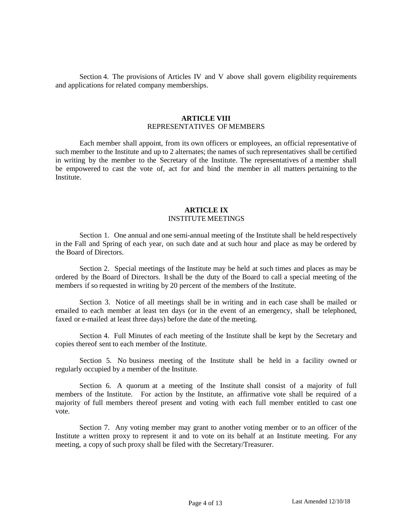Section 4. The provisions of Articles IV and V above shall govern eligibility requirements and applications for related company memberships.

# **ARTICLE VIII** REPRESENTATIVES OF MEMBERS

Each member shall appoint, from its own officers or employees, an official representative of such member to the Institute and up to 2 alternates; the names of such representatives shall be certified in writing by the member to the Secretary of the Institute. The representatives of a member shall be empowered to cast the vote of, act for and bind the member in all matters pertaining to the Institute.

#### **ARTICLE IX** INSTITUTE MEETINGS

Section 1. One annual and one semi-annual meeting of the Institute shall be held respectively in the Fall and Spring of each year, on such date and at such hour and place as may be ordered by the Board of Directors.

Section 2. Special meetings of the Institute may be held at such times and places as may be ordered by the Board of Directors. Itshall be the duty of the Board to call a special meeting of the members if so requested in writing by 20 percent of the members of the Institute.

Section 3. Notice of all meetings shall be in writing and in each case shall be mailed or emailed to each member at least ten days (or in the event of an emergency, shall be telephoned, faxed or e-mailed at least three days) before the date of the meeting.

Section 4. Full Minutes of each meeting of the Institute shall be kept by the Secretary and copies thereof sent to each member of the Institute.

Section 5. No business meeting of the Institute shall be held in a facility owned or regularly occupied by a member of the Institute.

Section 6. A quorum at a meeting of the Institute shall consist of a majority of full members of the Institute. For action by the Institute, an affirmative vote shall be required of a majority of full members thereof present and voting with each full member entitled to cast one vote.

Section 7. Any voting member may grant to another voting member or to an officer of the Institute a written proxy to represent it and to vote on its behalf at an Institute meeting. For any meeting, a copy of such proxy shall be filed with the Secretary/Treasurer.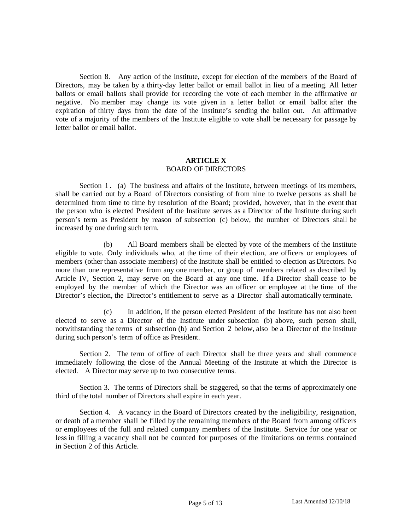Section 8. Any action of the Institute, except for election of the members of the Board of Directors, may be taken by a thirty-day letter ballot or email ballot in lieu of a meeting. All letter ballots or email ballots shall provide for recording the vote of each member in the affirmative or negative. No member may change its vote given in a letter ballot or email ballot after the expiration of thirty days from the date of the Institute's sending the ballot out. An affirmative vote of a majority of the members of the Institute eligible to vote shall be necessary for passage by letter ballot or email ballot.

## **ARTICLE X** BOARD OF DIRECTORS

Section 1. (a) The business and affairs of the Institute, between meetings of its members, shall be carried out by a Board of Directors consisting of from nine to twelve persons as shall be determined from time to time by resolution of the Board; provided, however, that in the event that the person who is elected President of the Institute serves as a Director of the Institute during such person's term as President by reason of subsection (c) below, the number of Directors shall be increased by one during such term.

(b) All Board members shall be elected by vote of the members of the Institute eligible to vote. Only individuals who, at the time of their election, are officers or employees of members (other than associate members) of the Institute shall be entitled to election as Directors. No more than one representative from any one member, or group of members related as described by Article IV, Section 2, may serve on the Board at any one time. If a Director shall cease to be employed by the member of which the Director was an officer or employee at the time of the Director's election, the Director's entitlement to serve as a Director shall automatically terminate.

(c) In addition, if the person elected President of the Institute has not also been elected to serve as a Director of the Institute under subsection (b) above, such person shall, notwithstanding the terms of subsection (b) and Section 2 below, also be a Director of the Institute during such person's term of office as President.

Section 2. The term of office of each Director shall be three years and shall commence immediately following the close of the Annual Meeting of the Institute at which the Director is elected. A Director may serve up to two consecutive terms.

Section 3. The terms of Directors shall be staggered, so that the terms of approximately one third of the total number of Directors shall expire in each year.

Section 4. A vacancy in the Board of Directors created by the ineligibility, resignation, or death of a member shall be filled by the remaining members of the Board from among officers or employees of the full and related company members of the Institute. Service for one year or less in filling a vacancy shall not be counted for purposes of the limitations on terms contained in Section 2 of this Article.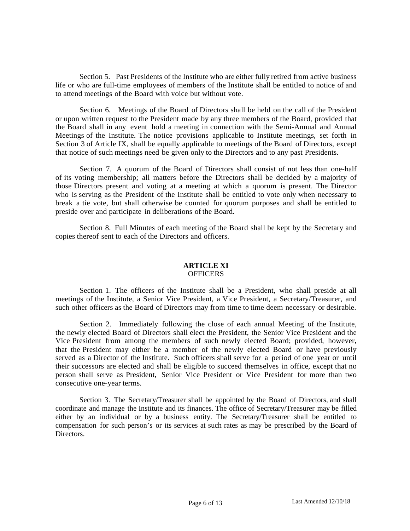Section 5. Past Presidents of the Institute who are either fully retired from active business life or who are full-time employees of members of the Institute shall be entitled to notice of and to attend meetings of the Board with voice but without vote.

Section 6. Meetings of the Board of Directors shall be held on the call of the President or upon written request to the President made by any three members of the Board, provided that the Board shall in any event hold a meeting in connection with the Semi-Annual and Annual Meetings of the Institute. The notice provisions applicable to Institute meetings, set forth in Section 3 of Article IX, shall be equally applicable to meetings of the Board of Directors, except that notice of such meetings need be given only to the Directors and to any past Presidents.

Section 7. A quorum of the Board of Directors shall consist of not less than one-half of its voting membership; all matters before the Directors shall be decided by a majority of those Directors present and voting at a meeting at which a quorum is present. The Director who is serving as the President of the Institute shall be entitled to vote only when necessary to break a tie vote, but shall otherwise be counted for quorum purposes and shall be entitled to preside over and participate in deliberations of the Board.

Section 8. Full Minutes of each meeting of the Board shall be kept by the Secretary and copies thereof sent to each of the Directors and officers.

#### **ARTICLE XI OFFICERS**

Section 1. The officers of the Institute shall be a President, who shall preside at all meetings of the Institute, a Senior Vice President, a Vice President, a Secretary/Treasurer, and such other officers as the Board of Directors may from time to time deem necessary or desirable.

Section 2. Immediately following the close of each annual Meeting of the Institute, the newly elected Board of Directors shall elect the President, the Senior Vice President and the Vice President from among the members of such newly elected Board; provided, however, that the President may either be a member of the newly elected Board or have previously served as a Director of the Institute. Such officers shall serve for a period of one year or until their successors are elected and shall be eligible to succeed themselves in office, except that no person shall serve as President, Senior Vice President or Vice President for more than two consecutive one-year terms.

Section 3. The Secretary/Treasurer shall be appointed by the Board of Directors, and shall coordinate and manage the Institute and its finances. The office of Secretary/Treasurer may be filled either by an individual or by a business entity. The Secretary/Treasurer shall be entitled to compensation for such person's or its services at such rates as may be prescribed by the Board of Directors.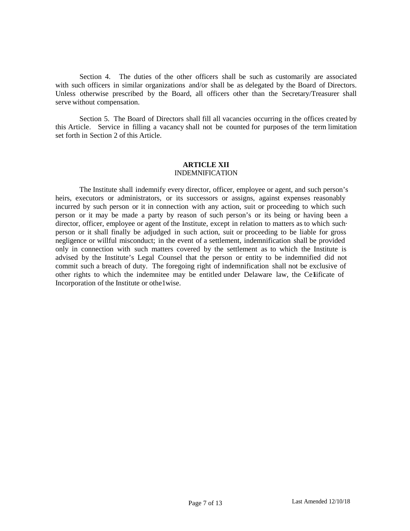Section 4. The duties of the other officers shall be such as customarily are associated with such officers in similar organizations and/or shall be as delegated by the Board of Directors. Unless otherwise prescribed by the Board, all officers other than the Secretary/Treasurer shall serve without compensation.

Section 5. The Board of Directors shall fill all vacancies occurring in the offices created by this Article. Service in filling a vacancy shall not be counted for purposes of the term limitation set forth in Section 2 of this Article.

#### **ARTICLE XII** INDEMNIFICATION

The Institute shall indemnify every director, officer, employee or agent, and such person's heirs, executors or administrators, or its successors or assigns, against expenses reasonably incurred by such person or it in connection with any action, suit or proceeding to which such person or it may be made a party by reason of such person's or its being or having been a director, officer, employee or agent of the Institute, except in relation to matters as to which suchperson or it shall finally be adjudged in such action, suit or proceeding to be liable for gross negligence or willful misconduct; in the event of a settlement, indemnification shall be provided only in connection with such matters covered by the settlement as to which the Institute is advised by the Institute's Legal Counsel that the person or entity to be indemnified did not commit such a breach of duty. The foregoing right of indemnification shall not be exclusive of other rights to which the indemnitee may be entitled under Delaware law, the Celificate of Incorporation of the Institute or othe1wise.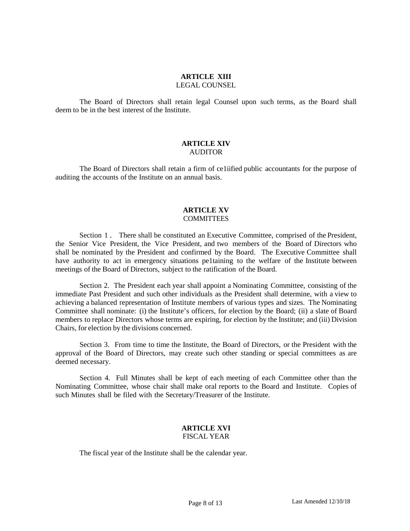#### **ARTICLE XIII** LEGAL COUNSEL

The Board of Directors shall retain legal Counsel upon such terms, as the Board shall deem to be in the best interest of the Institute.

#### **ARTICLE XIV** AUDITOR

The Board of Directors shall retain a firm of ce1iified public accountants for the purpose of auditing the accounts of the Institute on an annual basis.

### **ARTICLE XV COMMITTEES**

Section 1. There shall be constituted an Executive Committee, comprised of the President, the Senior Vice President, the Vice President, and two members of the Board of Directors who shall be nominated by the President and confirmed by the Board. The Executive Committee shall have authority to act in emergency situations pe1taining to the welfare of the Institute between meetings of the Board of Directors, subject to the ratification of the Board.

Section 2. The President each year shall appoint a Nominating Committee, consisting of the immediate Past President and such other individuals as the President shall determine, with a view to achieving a balanced representation of Institute members of various types and sizes. The Nominating Committee shall nominate: (i) the Institute's officers, for election by the Board; (ii) a slate of Board members to replace Directors whose terms are expiring, for election by the Institute; and (iii) Division Chairs, for election by the divisions concerned.

Section 3. From time to time the Institute, the Board of Directors, or the President with the approval of the Board of Directors, may create such other standing or special committees as are deemed necessary.

Section 4. Full Minutes shall be kept of each meeting of each Committee other than the Nominating Committee, whose chair shall make oral reports to the Board and Institute. Copies of such Minutes shall be filed with the Secretary/Treasurer of the Institute.

# **ARTICLE XVI** FISCAL YEAR

The fiscal year of the Institute shall be the calendar year.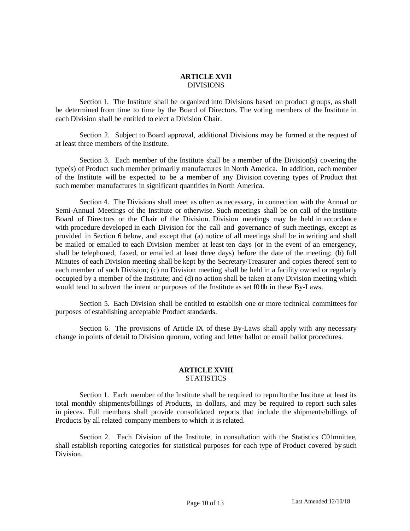# **ARTICLE XVII** DIVISIONS

Section 1. The Institute shall be organized into Divisions based on product groups, as shall be determined from time to time by the Board of Directors. The voting members of the Institute in each Division shall be entitled to elect a Division Chair.

Section 2. Subject to Board approval, additional Divisions may be formed at the request of at least three members of the Institute.

Section 3. Each member of the Institute shall be a member of the Division(s) covering the type(s) of Product such member primarily manufactures in North America. In addition, each member of the Institute will be expected to be a member of any Division covering types of Product that such member manufactures in significant quantities in North America.

Section 4. The Divisions shall meet as often as necessary, in connection with the Annual or Semi-Annual Meetings of the Institute or otherwise. Such meetings shall be on call of the Institute Board of Directors or the Chair of the Division. Division meetings may be held in accordance with procedure developed in each Division for the call and governance of such meetings, except as provided in Section 6 below, and except that (a) notice of all meetings shall be in writing and shall be mailed or emailed to each Division member at least ten days (or in the event of an emergency, shall be telephoned, faxed, or emailed at least three days) before the date of the meeting; (b) full Minutes of each Division meeting shall be kept by the Secretary/Treasurer and copies thereof sent to each member of such Division; (c) no Division meeting shall be held in a facility owned or regularly occupied by a member of the Institute; and (d) no action shall be taken at any Division meeting which would tend to subvert the intent or purposes of the Institute as set f011h in these By-Laws.

Section 5. Each Division shall be entitled to establish one or more technical committees for purposes of establishing acceptable Product standards.

Section 6. The provisions of Article IX of these By-Laws shall apply with any necessary change in points of detail to Division quorum, voting and letter ballot or email ballot procedures.

# **ARTICLE XVIII STATISTICS**

Section 1. Each member of the Institute shall be required to repm1to the Institute at least its total monthly shipments/billings of Products, in dollars, and may be required to report such sales in pieces. Full members shall provide consolidated reports that include the shipments/billings of Products by all related company members to which it is related.

Section 2. Each Division of the Institute, in consultation with the Statistics C01mnittee, shall establish reporting categories for statistical purposes for each type of Product covered by such Division.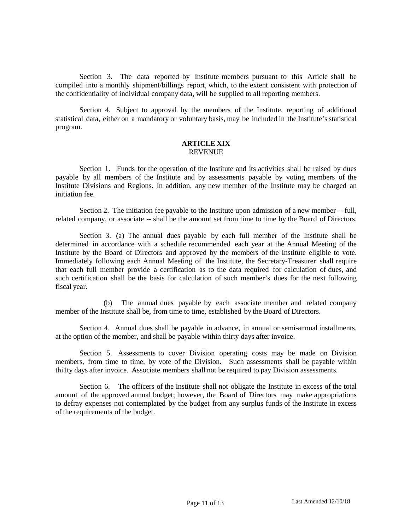Section 3. The data reported by Institute members pursuant to this Article shall be compiled into a monthly shipment/billings report, which, to the extent consistent with protection of the confidentiality of individual company data, will be supplied to all reporting members.

Section 4. Subject to approval by the members of the Institute, reporting of additional statistical data, either on a mandatory or voluntary basis, may be included in the Institute's statistical program.

#### **ARTICLE XIX REVENUE**

Section 1. Funds for the operation of the Institute and its activities shall be raised by dues payable by all members of the Institute and by assessments payable by voting members of the Institute Divisions and Regions. In addition, any new member of the Institute may be charged an initiation fee.

Section 2. The initiation fee payable to the Institute upon admission of a new member -- full, related company, or associate -- shall be the amount set from time to time by the Board of Directors.

Section 3. (a) The annual dues payable by each full member of the Institute shall be determined in accordance with a schedule recommended each year at the Annual Meeting of the Institute by the Board of Directors and approved by the members of the Institute eligible to vote. Immediately following each Annual Meeting of the Institute, the Secretary-Treasurer shall require that each full member provide a certification as to the data required for calculation of dues, and such certification shall be the basis for calculation of such member's dues for the next following fiscal year.

(b) The annual dues payable by each associate member and related company member of the Institute shall be, from time to time, established by the Board of Directors.

Section 4. Annual dues shall be payable in advance, in annual or semi-annual installments, at the option of the member, and shall be payable within thirty days after invoice.

Section 5. Assessments to cover Division operating costs may be made on Division members, from time to time, by vote of the Division. Such assessments shall be payable within thi1ty days after invoice. Associate members shall not be required to pay Division assessments.

Section 6. The officers of the Institute shall not obligate the Institute in excess of the total amount of the approved annual budget; however, the Board of Directors may make appropriations to defray expenses not contemplated by the budget from any surplus funds of the Institute in excess of the requirements of the budget.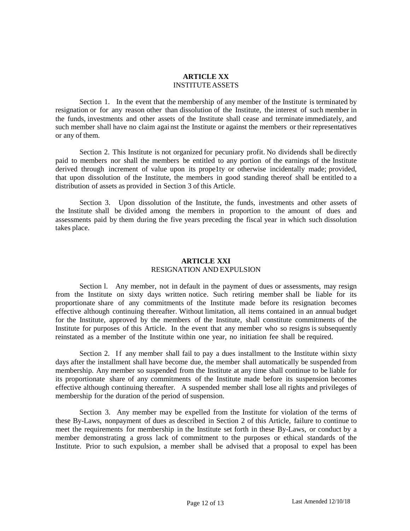## **ARTICLE XX** INSTITUTEASSETS

Section 1. In the event that the membership of any member of the Institute is terminated by resignation or for any reason other than dissolution of the Institute, the interest of such member in the funds, investments and other assets of the Institute shall cease and terminate immediately, and such member shall have no claim against the Institute or against the members or their representatives or any of them.

Section 2. This Institute is not organized for pecuniary profit. No dividends shall be directly paid to members nor shall the members be entitled to any portion of the earnings of the Institute derived through increment of value upon its prope1ty or otherwise incidentally made; provided, that upon dissolution of the Institute, the members in good standing thereof shall be entitled to a distribution of assets as provided in Section 3 of this Article.

Section 3. Upon dissolution of the Institute, the funds, investments and other assets of the Institute shall be divided among the members in proportion to the amount of dues and assessments paid by them during the five years preceding the fiscal year in which such dissolution takes place.

# **ARTICLE XXI** RESIGNATION AND EXPULSION

Section l. Any member, not in default in the payment of dues or assessments, may resign from the Institute on sixty days written notice. Such retiring member shall be liable for its proportionate share of any commitments of the Institute made before its resignation becomes effective although continuing thereafter. Without limitation, all items contained in an annual budget for the Institute, approved by the members of the Institute, shall constitute commitments of the Institute for purposes of this Article. In the event that any member who so resigns is subsequently reinstated as a member of the Institute within one year, no initiation fee shall be required.

Section 2. If any member shall fail to pay a dues installment to the Institute within sixty days after the installment shall have become due, the member shall automatically be suspended from membership. Any member so suspended from the Institute at any time shall continue to be liable for its proportionate share of any commitments of the Institute made before its suspension becomes effective although continuing thereafter. A suspended member shall lose all rights and privileges of membership for the duration of the period of suspension.

Section 3. Any member may be expelled from the Institute for violation of the terms of these By-Laws, nonpayment of dues as described in Section 2 of this Article, failure to continue to meet the requirements for membership in the Institute set forth in these By-Laws, or conduct by a member demonstrating a gross lack of commitment to the purposes or ethical standards of the Institute. Prior to such expulsion, a member shall be advised that a proposal to expel has been